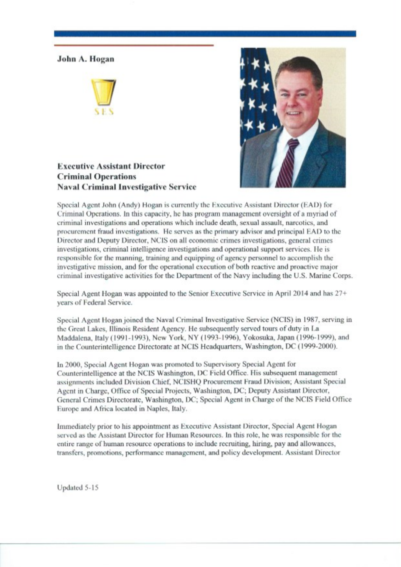## John A. Hogan





## **Executive Assistant Director Criminal Operations Naval Criminal Investigative Service**

Special Agent John (Andy) Hogan is currently the Executive Assistant Director (EAD) for Criminal Operations. In this capacity, he has program management oversight of a myriad of criminal investigations and operations which include death, sexual assault, narcotics, and procurement fraud investigations. He serves as the primary advisor and principal EAD to the Director and Deputy Director, NCIS on all economic crimes investigations, general crimes investigations, criminal intelligence investigations and operational support services. He is responsible for the manning, training and equipping of agency personnel to accomplish the investigative mission, and for the operational execution of both reactive and proactive major criminal investigative activities for the Department of the Navy including the U.S. Marine Corps.

Special Agent Hogan was appointed to the Senior Executive Service in April 2014 and has 27+ years of Federal Service.

Special Agent Hogan joined the Naval Criminal Investigative Service (NCIS) in 1987, serving in the Great Lakes. Illinois Resident Agency. He subsequently served tours of duty in La Maddalena, Italy (1991-1993), New York, NY (1993-1996), Yokosuka, Japan (1996-1999), and in the Counterintelligence Directorate at NCIS Headquarters, Washington, DC (1999-2000).

In 2000, Special Agent Hogan was promoted to Supervisory Special Agent for Counterintelligence at the NCIS Washington, DC Field Office. His subsequent management assignments included Division Chief, NCISHO Procurement Fraud Division; Assistant Special Agent in Charge, Office of Special Projects, Washington, DC; Deputy Assistant Director, General Crimes Directorate, Washington, DC; Special Agent in Charge of the NCIS Field Office Europe and Africa located in Naples, Italy.

Immediately prior to his appointment as Executive Assistant Director, Special Agent Hogan served as the Assistant Director for Human Resources. In this role, he was responsible for the entire range of human resource operations to include recruiting, hiring, pay and allowances, transfers, promotions, performance management, and policy development. Assistant Director

Updated 5-15